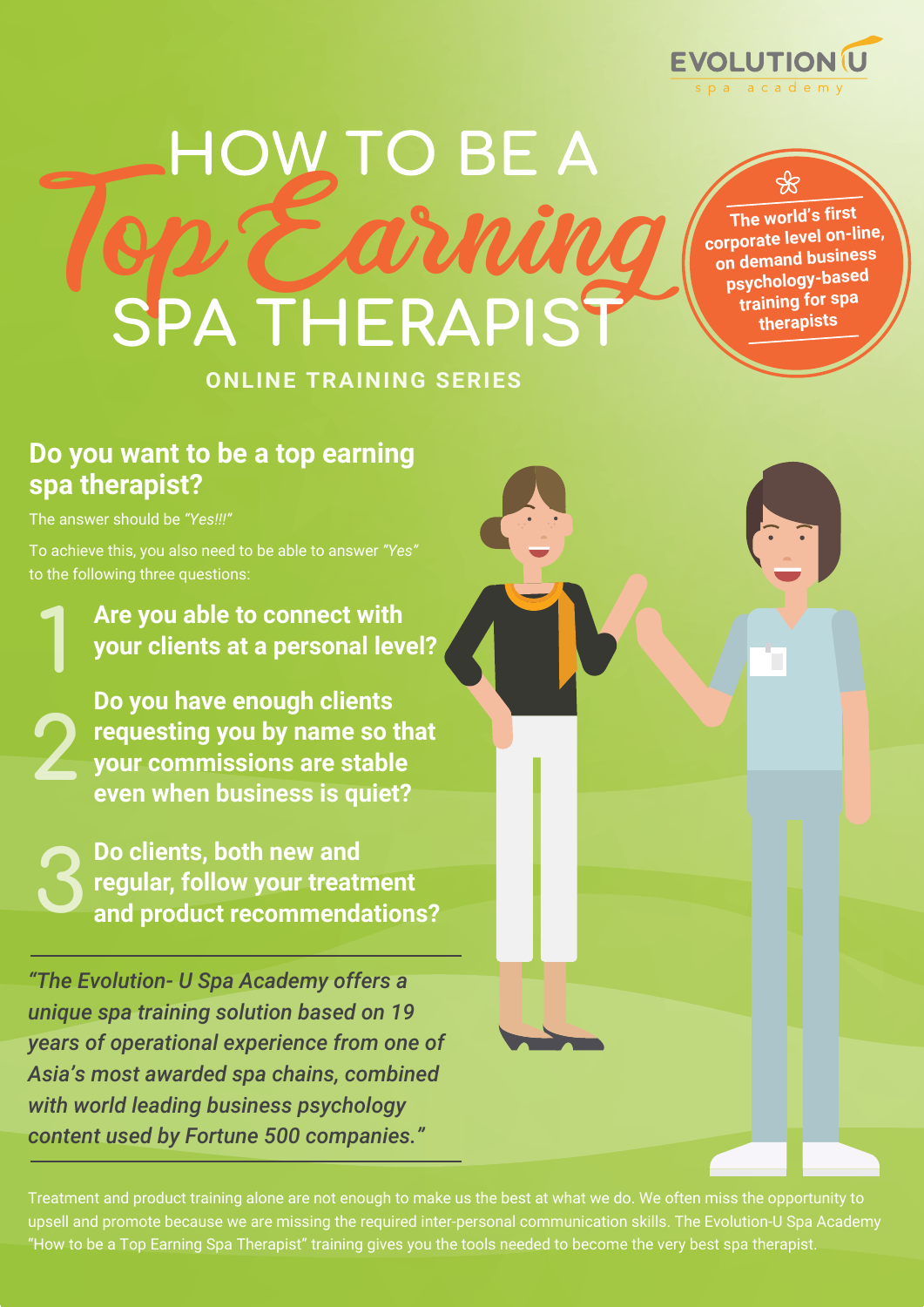

# **ONLINE TRAINING SERIES** HOW TO BE A<br>DE COURLING SPA THERAPIS<sup>®</sup>

**The world's first corporate level on-line, on demand business psychology-based training for spa therapists** 

#### **Do you want to be a top earning spa therapist?**

The answer should be *"Yes!!!"*

**2**

**3**

To achieve this, you also need to be able to answer *"Yes"* to the following three questions:

**Are you able to connect with your clients at a personal level? 1**

**Do you have enough clients requesting you by name so that your commissions are stable even when business is quiet?** 

**Do clients, both new and regular, follow your treatment and product recommendations?**

*"The Evolution- U Spa Academy offers a unique spa training solution based on 19 years of operational experience from one of Asia's most awarded spa chains, combined with world leading business psychology content used by Fortune 500 companies."*

Treatment and product training alone are not enough to make us the best at what we do. We often miss the opportunity to upsell and promote because we are missing the required inter-personal communication skills. The Evolution-U Spa Academy "How to be a Top Earning Spa Therapist" training gives you the tools needed to become the very best spa therapist.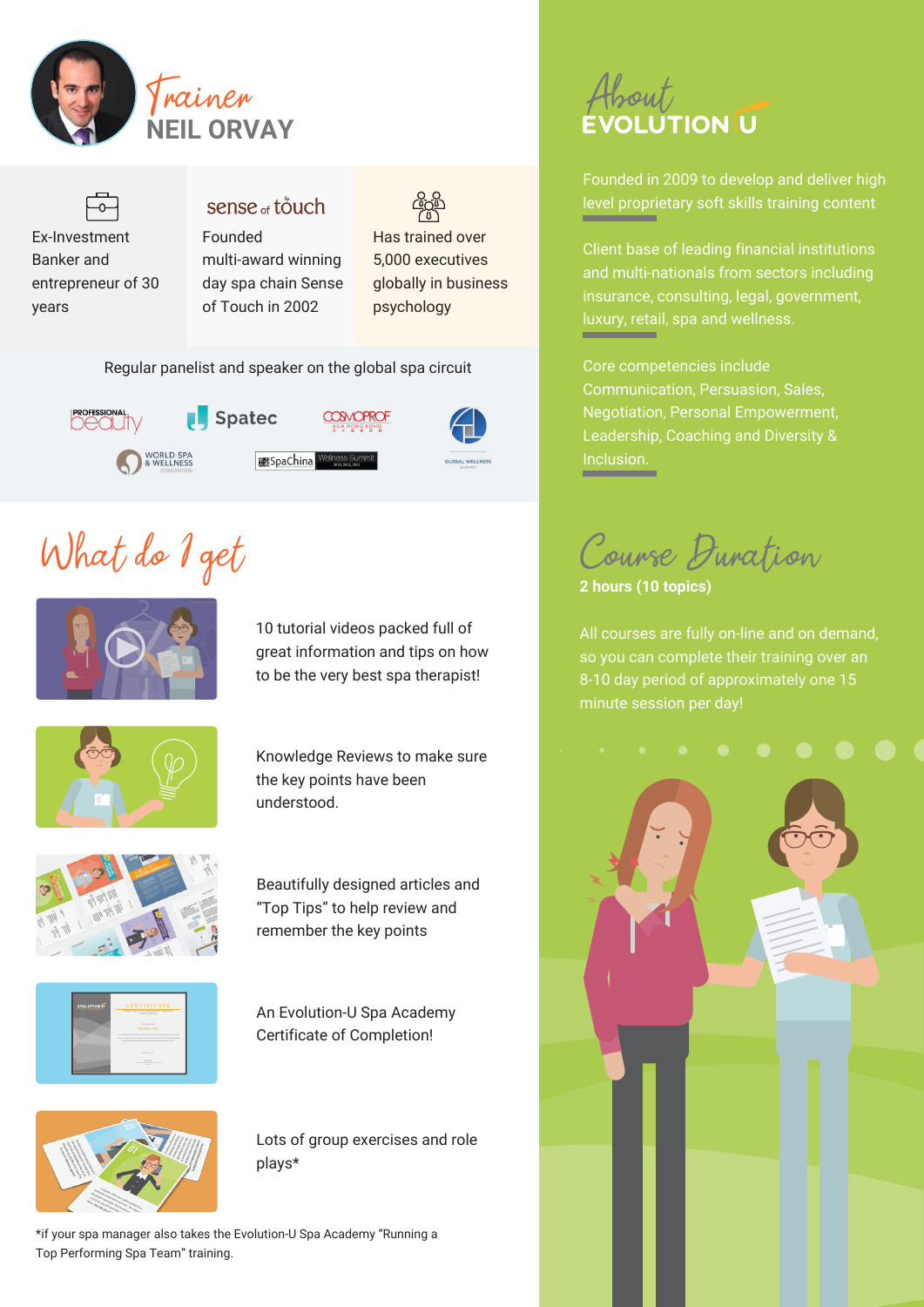



#### sense <sub>of</sub> touch Founded

multi-award winning day spa chain Sense of Touch in 2002

Has trained over 5,000 executives globally in business psychology

Regular panelist and speaker on the global spa circuit



# What do I get



10 tutorial videos packed full of great information and tips on how to be the very best spa therapist!



Knowledge Reviews to make sure the key points have been understood.



Beautifully designed articles and "Top Tips" to help review and remember the key points



An Evolution-U Spa Academy Certificate of Completion!



Lots of group exercises and role plays\*

\*if your spa manager also takes the Evolution-U Spa Academy "Running a Top Performing Spa Team" training.

# Frainer<br>Francisco About

Founded in 2009 to develop and deliver high level proprietary soft skills training content

Client base of leading financial institutions and multi-nationals from sectors including insurance, consulting, legal, government, luxury, retail, spa and wellness.

Core competencies include Communication, Persuasion, Sales, Negotiation, Personal Empowerment, Leadership, Coaching and Diversity & Inclusion.

Course Duration

**2 hours (10 topics)**

All courses are fully on-line and on demand, so you can complete their training over an 8-10 day period of approximately one 15 minute session per day!